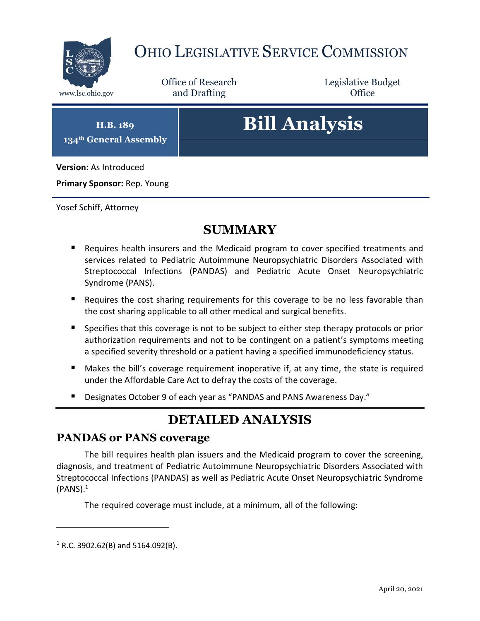

## OHIO LEGISLATIVE SERVICE COMMISSION

Office of Research www.lsc.ohio.gov **and Drafting Office** 

Legislative Budget

**H.B. 189 134th General Assembly**

# **Bill Analysis**

**Version:** As Introduced

**Primary Sponsor:** Rep. Young

Yosef Schiff, Attorney

## **SUMMARY**

- **Requires health insurers and the Medicaid program to cover specified treatments and** services related to Pediatric Autoimmune Neuropsychiatric Disorders Associated with Streptococcal Infections (PANDAS) and Pediatric Acute Onset Neuropsychiatric Syndrome (PANS).
- Requires the cost sharing requirements for this coverage to be no less favorable than the cost sharing applicable to all other medical and surgical benefits.
- Specifies that this coverage is not to be subject to either step therapy protocols or prior authorization requirements and not to be contingent on a patient's symptoms meeting a specified severity threshold or a patient having a specified immunodeficiency status.
- Makes the bill's coverage requirement inoperative if, at any time, the state is required under the Affordable Care Act to defray the costs of the coverage.
- Designates October 9 of each year as "PANDAS and PANS Awareness Day."

## **DETAILED ANALYSIS**

#### **PANDAS or PANS coverage**

The bill requires health plan issuers and the Medicaid program to cover the screening, diagnosis, and treatment of Pediatric Autoimmune Neuropsychiatric Disorders Associated with Streptococcal Infections (PANDAS) as well as Pediatric Acute Onset Neuropsychiatric Syndrome  $(PANS).<sup>1</sup>$ 

The required coverage must include, at a minimum, all of the following:

 $1$  R.C. 3902.62(B) and 5164.092(B).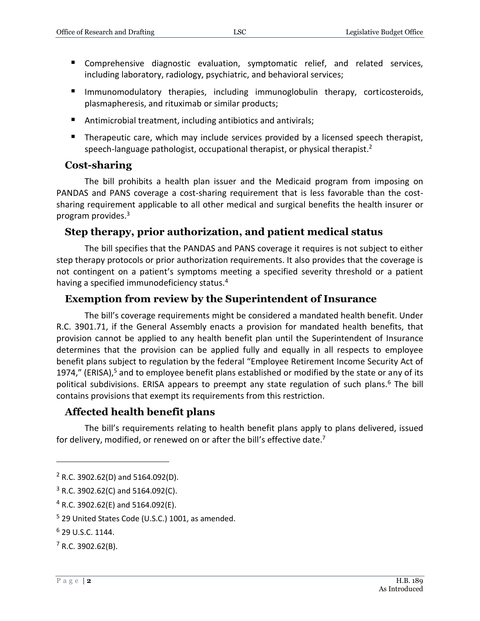- Comprehensive diagnostic evaluation, symptomatic relief, and related services, including laboratory, radiology, psychiatric, and behavioral services;
- Immunomodulatory therapies, including immunoglobulin therapy, corticosteroids, plasmapheresis, and rituximab or similar products;
- Antimicrobial treatment, including antibiotics and antivirals;
- **Therapeutic care, which may include services provided by a licensed speech therapist,** speech-language pathologist, occupational therapist, or physical therapist.<sup>2</sup>

#### **Cost-sharing**

The bill prohibits a health plan issuer and the Medicaid program from imposing on PANDAS and PANS coverage a cost-sharing requirement that is less favorable than the costsharing requirement applicable to all other medical and surgical benefits the health insurer or program provides. 3

#### **Step therapy, prior authorization, and patient medical status**

The bill specifies that the PANDAS and PANS coverage it requires is not subject to either step therapy protocols or prior authorization requirements. It also provides that the coverage is not contingent on a patient's symptoms meeting a specified severity threshold or a patient having a specified immunodeficiency status.<sup>4</sup>

#### **Exemption from review by the Superintendent of Insurance**

The bill's coverage requirements might be considered a mandated health benefit. Under R.C. 3901.71, if the General Assembly enacts a provision for mandated health benefits, that provision cannot be applied to any health benefit plan until the Superintendent of Insurance determines that the provision can be applied fully and equally in all respects to employee benefit plans subject to regulation by the federal "Employee Retirement Income Security Act of 1974," (ERISA), $5$  and to employee benefit plans established or modified by the state or any of its political subdivisions. ERISA appears to preempt any state regulation of such plans.<sup>6</sup> The bill contains provisions that exempt its requirements from this restriction.

#### **Affected health benefit plans**

The bill's requirements relating to health benefit plans apply to plans delivered, issued for delivery, modified, or renewed on or after the bill's effective date.<sup>7</sup>

 $2$  R.C. 3902.62(D) and 5164.092(D).

 $3$  R.C. 3902.62(C) and 5164.092(C).

<sup>4</sup> R.C. 3902.62(E) and 5164.092(E).

<sup>5</sup> 29 United States Code (U.S.C.) 1001, as amended.

<sup>6</sup> 29 U.S.C. 1144.

 $7$  R.C. 3902.62(B).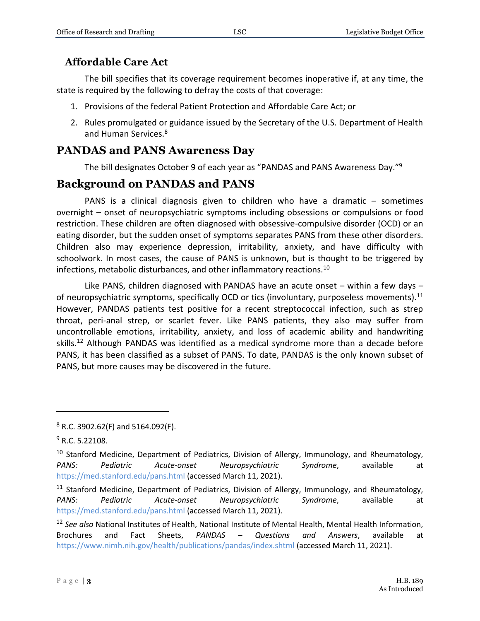#### **Affordable Care Act**

The bill specifies that its coverage requirement becomes inoperative if, at any time, the state is required by the following to defray the costs of that coverage:

- 1. Provisions of the federal Patient Protection and Affordable Care Act; or
- 2. Rules promulgated or guidance issued by the Secretary of the U.S. Department of Health and Human Services.<sup>8</sup>

### **PANDAS and PANS Awareness Day**

The bill designates October 9 of each year as "PANDAS and PANS Awareness Day."<sup>9</sup>

#### **Background on PANDAS and PANS**

PANS is a clinical diagnosis given to children who have a dramatic – sometimes overnight – onset of neuropsychiatric symptoms including obsessions or compulsions or food restriction. These children are often diagnosed with obsessive-compulsive disorder (OCD) or an eating disorder, but the sudden onset of symptoms separates PANS from these other disorders. Children also may experience depression, irritability, anxiety, and have difficulty with schoolwork. In most cases, the cause of PANS is unknown, but is thought to be triggered by infections, metabolic disturbances, and other inflammatory reactions.<sup>10</sup>

Like PANS, children diagnosed with PANDAS have an acute onset  $-$  within a few days  $$ of neuropsychiatric symptoms, specifically OCD or tics (involuntary, purposeless movements).<sup>11</sup> However, PANDAS patients test positive for a recent streptococcal infection, such as strep throat, peri-anal strep, or scarlet fever. Like PANS patients, they also may suffer from uncontrollable emotions, irritability, anxiety, and loss of academic ability and handwriting skills.<sup>12</sup> Although PANDAS was identified as a medical syndrome more than a decade before PANS, it has been classified as a subset of PANS. To date, PANDAS is the only known subset of PANS, but more causes may be discovered in the future.

<sup>8</sup> R.C. 3902.62(F) and 5164.092(F).

<sup>9</sup> R.C. 5.22108.

<sup>&</sup>lt;sup>10</sup> Stanford Medicine, Department of Pediatrics, Division of Allergy, Immunology, and Rheumatology, *PANS: Pediatric Acute-onset Neuropsychiatric Syndrome*, available at <https://med.stanford.edu/pans.html> (accessed March 11, 2021).

<sup>&</sup>lt;sup>11</sup> Stanford Medicine, Department of Pediatrics, Division of Allergy, Immunology, and Rheumatology, *PANS: Pediatric Acute-onset Neuropsychiatric Syndrome*, available at <https://med.stanford.edu/pans.html> (accessed March 11, 2021).

<sup>12</sup> *See also* National Institutes of Health, National Institute of Mental Health, Mental Health Information, Brochures and Fact Sheets, *PANDAS – Questions and Answers*, available at <https://www.nimh.nih.gov/health/publications/pandas/index.shtml> (accessed March 11, 2021).